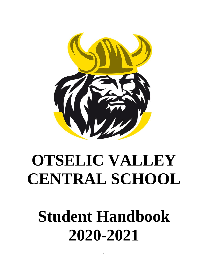

# **OTSELIC VALLEY CENTRAL SCHOOL**

# **Student Handbook 2020-2021**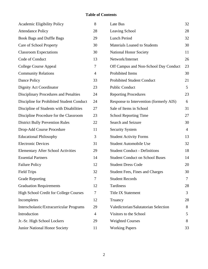# **Table of Contents**

| <b>Academic Eligibility Policy</b>            | 8                | Late Bus                                | 32             |
|-----------------------------------------------|------------------|-----------------------------------------|----------------|
| <b>Attendance Policy</b>                      | 28               | Leaving School                          | 28             |
| <b>Book Bags and Duffle Bags</b>              | 29               | Lunch Period                            | 32             |
| Care of School Property                       | 30               | Materials Loaned to Students            | 30             |
| <b>Classroom Expectations</b>                 | 30               | <b>National Honor Society</b>           | 11             |
| Code of Conduct                               | 13               | Network/Internet                        | 26             |
| <b>College Course Appeal</b>                  | $\boldsymbol{7}$ | Off Campus and Non-School Day Conduct   | 23             |
| <b>Community Relations</b>                    | $\overline{4}$   | Prohibited Items                        | 30             |
| Dance Policy                                  | 33               | <b>Prohibited Student Conduct</b>       | 21             |
| Dignity Act Coordinator                       | 23               | <b>Public Conduct</b>                   | 5              |
| <b>Disciplinary Procedures and Penalties</b>  | 24               | <b>Reporting Procedures</b>             | 23             |
| Discipline for Prohibited Student Conduct     | 24               | Response to Intervention (formerly AIS) | 6              |
| Discipline of Students with Disabilities      | 27               | Sale of Items in School                 | 31             |
| Discipline Procedure for the Classroom        | 23               | <b>School Reporting Time</b>            | 27             |
| <b>District Bully Prevention Rules</b>        | 22               | Search and Seizure                      | 30             |
| Drop-Add Course Procedure                     | 11               | <b>Security System</b>                  | $\overline{4}$ |
| <b>Educational Philosophy</b>                 | 3                | <b>Student Activity Forms</b>           | 13             |
| <b>Electronic Devices</b>                     | 31               | <b>Student Automobile Use</b>           | 32             |
| <b>Elementary After School Activities</b>     | 29               | <b>Student Conduct - Definitions</b>    | 18             |
| <b>Essential Partners</b>                     | 14               | <b>Student Conduct on School Buses</b>  | 14             |
| <b>Failure Policy</b>                         | 12               | <b>Student Dress Code</b>               | 20             |
| <b>Field Trips</b>                            | 32               | <b>Student Fees, Fines and Charges</b>  | 30             |
| <b>Grade Reporting</b>                        | $\tau$           | <b>Student Records</b>                  | $\overline{7}$ |
| <b>Graduation Requirements</b>                | 12               | Tardiness                               | 28             |
| <b>High School Credit for College Courses</b> | 7                | <b>Title IX Statement</b>               | 3              |
| Incompletes                                   | 12               | Truancy                                 | 28             |
| Interscholastic/Extracurricular Programs      | 29               | Valedictorian/Salutatorian Selection    | 8              |
| Introduction                                  | $\overline{4}$   | Visitors to the School                  | 5              |
| Jr.-Sr. High School Lockers                   | 29               | <b>Weighted Courses</b>                 | 8              |
| Junior National Honor Society                 | 11               | <b>Working Papers</b>                   | 33             |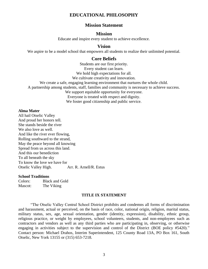## **EDUCATIONAL PHILOSOPHY**

## **Mission Statement**

## **Mission**

Educate and inspire every student to achieve excellence.

## **Vision**

We aspire to be a model school that empowers all students to realize their unlimited potential.

## **Core Beliefs**

Students are our first priority. Every student can learn. We hold high expectations for all. We cultivate creativity and innovation. We create a safe, engaging learning environment that nurtures the whole child. A partnership among students, staff, families and community is necessary to achieve success. We support equitable opportunity for everyone. Everyone is treated with respect and dignity. We foster good citizenship and public service.

## **Alma Mater**

All hail Otselic Valley And proud her honors tell. She stands beside the river We also love as well. And like the river ever flowing, Rolling southward to the strand, May the peace beyond all knowing Spread from us across this land. And this our benediction To all beneath the sky To know the love we have for Otselic Valley High. Arr. R. Arnell/R. Estus

## **School Traditions**

Colors: Black and Gold Mascot: The Viking

## **TITLE IX STATEMENT**

"The Otselic Valley Central School District prohibits and condemns all forms of discrimination and harassment, actual or perceived, on the basis of race, color, national origin, religion, marital status, military status, sex, age, sexual orientation, gender (identity, expression), disability, ethnic group, religious practice, or weight by employees, school volunteers, students, and non-employees such as contractors and vendors as well as any third parties who are participating in, observing, or otherwise engaging in activities subject to the supervision and control of the District (BOE policy #5420)." Contact person: Michael Drahos, Interim Superintendent, 125 County Road 13A, PO Box 161, South Otselic, New York 13155 or (315) 653-7218.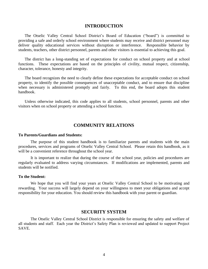## **INTRODUCTION**

The Otselic Valley Central School District's Board of Education ("board") is committed to providing a safe and orderly school environment where students may receive and district personnel may deliver quality educational services without disruption or interference. Responsible behavior by students, teachers, other district personnel, parents and other visitors is essential to achieving this goal.

The district has a long-standing set of expectations for conduct on school property and at school functions. These expectations are based on the principles of civility, mutual respect, citizenship, character, tolerance, honesty and integrity.

The board recognizes the need to clearly define these expectations for acceptable conduct on school property, to identify the possible consequences of unacceptable conduct, and to ensure that discipline when necessary is administered promptly and fairly. To this end, the board adopts this student handbook.

Unless otherwise indicated, this code applies to all students, school personnel, parents and other visitors when on school property or attending a school function.

## **COMMUNITY RELATIONS**

#### **To Parents/Guardians and Students:**

The purpose of this student handbook is to familiarize parents and students with the main procedures, services and programs of Otselic Valley Central School. Please retain this handbook, as it will be a convenient reference throughout the school year.

It is important to realize that during the course of the school year, policies and procedures are regularly evaluated to address varying circumstances. If modifications are implemented, parents and students will be notified.

#### **To the Student:**

We hope that you will find your years at Otselic Valley Central School to be motivating and rewarding. Your success will largely depend on your willingness to meet your obligations and accept responsibility for your education. You should review this handbook with your parent or guardian.

## **SECURITY SYSTEM**

The Otselic Valley Central School District is responsible for ensuring the safety and welfare of all students and staff. Each year the District's Safety Plan is reviewed and updated to support Project SAVE.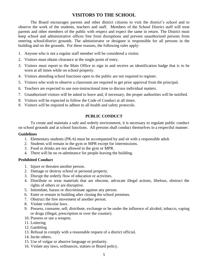## **VISITORS TO THE SCHOOL**

The Board encourages parents and other district citizens to visit the district's school and to observe the work of the students, teachers and staff. Members of the School District staff will treat parents and other members of the public with respect and expect the same in return. The District must keep school and administrative offices free from disruptions and prevent unauthorized persons from entering school/district grounds. The administrator or designee is responsible for all persons in the building and on the grounds. For these reasons, the following rules apply:

- 1. Anyone who is not a regular staff member will be considered a visitor.
- 2. Visitors must obtain clearance at the single point of entry.
- 3. Visitors must report to the Main Office to sign in and receive an identification badge that is to be worn at all times while on school property.
- 4. Visitors attending school functions open to the public are not required to register.
- 5. Visitors who wish to observe a classroom are required to get prior approval from the principal.
- 6. Teachers are expected to use non-instructional time to discuss individual matters.
- 7. Unauthorized visitors will be asked to leave and, if necessary, the proper authorities will be notified.
- 8. Visitors will be expected to follow the Code of Conduct at all times.
- 9. Visitors will be required to adhere to all health and safety protocols.

## **PUBLIC CONDUCT**

To create and maintain a safe and orderly environment, it is necessary to regulate public conduct on school grounds and at school functions. All persons shall conduct themselves in a respectful manner.

## **Guidelines**

- 1. Elementary students (PK-6) must be accompanied by and sit with a responsible adult.
- 2. Students will remain in the gym or MPR except for intermissions.
- 3. Food or drinks are not allowed in the gym or MPR.
- 4. There will be no re-admittance for people leaving the building.

## **Prohibited Conduct**

- 1. Injure or threaten another person.
- 2. Damage or destroy school or personal property.
- 3. Disrupt the orderly flow of education or activities.
- 4. Distribute or wear materials that are obscene, advocate illegal actions, libelous, obstruct the rights of others or are disruptive.
- 5. Intimidate, harass or discriminate against any person.
- 6. Enter or remain in building after closing the school premises.
- 7. Obstruct the free movement of another person.
- 8. Violate vehicular laws.
- 9. Possess, consume, sell, distribute, exchange or be under the influence of alcohol, tobacco, vaping or drugs (illegal, prescription or over the counter).
- 10. Possess or use a weapon.
- 11. Loitering
- 12. Gambling
- 13. Refusal to comply with a reasonable request of a district official.
- 14. Incite others.
- 15. Use of vulgar or abusive language or profanity.
- 16. Violate any laws, ordinances, statues or Board policy.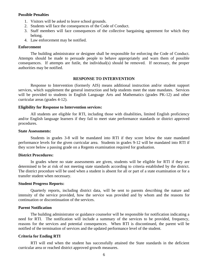#### **Possible Penalties**

- 1. Visitors will be asked to leave school grounds.
- 2. Students will face the consequences of the Code of Conduct.
- 3. Staff members will face consequences of the collective bargaining agreement for which they belong.
- 4. Law enforcement may be notified.

#### **Enforcement**

The building administrator or designee shall be responsible for enforcing the Code of Conduct. Attempts should be made to persuade people to behave appropriately and warn them of possible consequences. If attempts are futile, the individual(s) should be removed. If necessary, the proper authorities may be notified.

#### **RESPONSE TO INTERVENTION**

Response to Intervention (formerly AIS) means additional instruction and/or student support services, which supplement the general instruction and help students meet the state mandates. Services will be provided to students in English Language Arts and Mathematics (grades PK-12) and other curricular areas (grades 4-12).

#### **Eligibility for Response to Intervention services:**

All students are eligible for RTI, including those with disabilities, limited English proficiency and/or English language learners if they fail to meet state performance standards or district approved procedures.

#### **State Assessments:**

Students in grades 3-8 will be mandated into RTI if they score below the state mandated performance levels for the given curricular area. Students in grades 9-12 will be mandated into RTI if they score below a passing grade on a Regents examination required for graduation.

## **District Procedures:**

In grades where no state assessments are given, students will be eligible for RTI if they are determined to be at risk of not meeting state standards according to criteria established by the district. The district procedure will be used when a student is absent for all or part of a state examination or for a transfer student when necessary.

#### **Student Progress Reports:**

Quarterly reports, including district data, will be sent to parents describing the nature and intensity of the service provided, how the service was provided and by whom and the reasons for continuation or discontinuation of the services.

#### **Parent Notification**

The building administrator or guidance counselor will be responsible for notification indicating a need for RTI. The notification will include a summary of the services to be provided, frequency, reasons for the services and potential consequences. When RTI is discontinued, the parent will be notified of the termination of services and the updated performance level of the student.

#### **Criteria for Ending RTI**

RTI will end when the student has successfully attained the State standards in the deficient curricular area or reached district approved growth measures.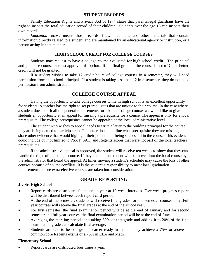#### **STUDENT RECORDS**

Family Education Rights and Privacy Act of 1974 states that parents/legal guardians have the right to inspect the total education record of their children. Students over the age 18 can inspect their own records.

*Education record* means those records, files, documents and other materials that contain information directly related to a student and are maintained by an educational agency or institution, or a person acting in that manner.

## **HIGH SCHOOL CREDIT FOR COLLEGE COURSES**

Students may request to have a college course evaluated for high school credit. The principal and guidance counselor must approve this option. If the final grade in the course is not a "C" or better, credit will not be granted.

If a student wishes to take 12 credit hours of college courses in a semester, they will need permission from the school principal. If a student is taking less than 12 in a semester, they do not need permission from administration.

## **COLLEGE COURSE APPEAL**

Having the opportunity to take college courses while in high school is an excellent opportunity for students. A teacher has the right to set prerequisites that are unique to their course. In the case where a student does not fit all the general requirements for taking a college course, we would like to give students an opportunity at an appeal for missing a prerequisite for a course. The appeal is only for a local prerequisite. The college prerequisites cannot be appealed at the local administrative level.

The student who wishes to appeal needs to write a letter to the building principal for the course they are being denied to participate in. The letter should outline what prerequisite they are missing and share other evidence that would highlight their potential of being successful in the course. This evidence could include but not limited to PSAT, SAT, and Regents scores that were not part of the local teachers prerequisites.

If the administrative appeal is approved, the student will receive ten weeks to show that they can handle the rigor of the college course. If they cannot, the student will be moved into the local course by the administrator that heard the appeal. At times moving a student's schedule may cause the loss of other courses because of course conflicts. It is the student's responsibility to meet local graduation requirements before extra elective courses are taken into consideration.

## **GRADE REPORTING**

## **Jr.-Sr. High School**

- Report cards are distributed four times a year at 10-week intervals. Five-week progress reports will be distributed between each report card period.
- At the end of the semester, students will receive final grades for one-semester courses only. Full year courses will receive the final grades at the end of the school year.
- For first semester, the final examination period will be at the end of January and for second semester and full year courses, the final examination period will be at the end of June.
- Averaging the marking periods and taking 80% of that grade and adding it to 20% of the final examination grade can calculate final average.
- Students are said to be college and career ready in math if they achieve a 75% or above on common core Regents exams or a 75% in ELA and Math.

## **Elementary School**

Report cards are distributed four times a year.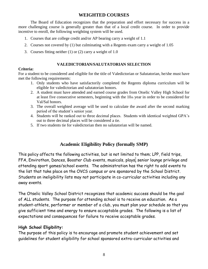# **WEIGHTED COURSES**

The Board of Education recognizes that the preparation and effort necessary for success in a more challenging course is generally greater than that of a local credit course. In order to provide incentive to enroll, the following weighting system will be used.

- 1. Courses that are college credit and/or AP bearing carry a weight of 1.1
- 2. Courses not covered by (1) but culminating with a Regents exam carry a weight of 1.05
- 3. Courses fitting neither (1) or (2) carry a weight of 1.0

## **VALEDICTORIAN/SALUTATORIAN SELECTION**

## **Criteria:**

For a student to be considered and eligible for the title of Valedictorian or Salutatorian, he/she must have met the following requirements:

- 1. Only students who have satisfactorily completed the Regents diploma curriculum will be eligible for valedictorian and salutatorian honors.
- 2. A student must have attended and earned course grades from Otselic Valley High School for at least five consecutive semesters, beginning with the 10th year in order to be considered for Val/Sal honors.
- 3. The overall weighted average will be used to calculate the award after the second marking period of the student's senior year.
- 4. Students will be ranked out to three decimal places. Students with identical weighted GPA's out to three decimal places will be considered a tie.
- 5. If two students tie for valedictorian then no salutatorian will be named.

# **Academic Eligibility Policy (formally SMP)**

This policy affects the following activities, but is not limited to them; LPP, field trips, FFA, Envirothon, Dances, Booster Club events, musicals, plays, senior lounge privilege and attending sport games/school events. The administration has the right to add events to the list that take place on the OVCS campus or are sponsored by the School District. Students on ineligibility lists may not participate in co-curricular activities including any away events.

The Otselic Valley School District recognizes that academic success should be the goal of ALL students. The purpose for attending school is to receive an education. As a student-athlete, performer or member of a club, you must plan your schedule so that you give sufficient time and energy to ensure acceptable grades. The following is a list of expectations and consequences for failure to receive acceptable grades.

## **High School Eligibility:**

The purpose of this policy is to encourage and promote student achievement and set guidelines for student eligibility for school sponsored extra-curricular activities and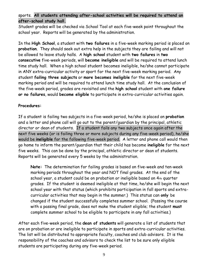# sports. **All students attending after-school activities will be required to attend an after-school study hall.**

Student grades will be checked via School Tool at each five-week point throughout the school year. Reports will be generated by the administration.

In the **High School**, a student with **two failures** in a five-week marking period is placed on **probation**. They should seek out extra help in the subjects they are failing and will not be allowed to leave study halls. A **high school** student with **two failures** in **two consecutive** five-week periods, will **become ineligible** and will be required to attend lunch time study hall. When a high school student becomes ineligible, he/she cannot participate in ANY extra-curricular activity or sport for the next five-week marking period. Any student **failing three subjects** or **more becomes ineligible** for the next five-week marking period and will be required to attend lunch time study hall. At the conclusion of the five-week period, grades are revisited and the **high school** student with **one failure or no failures**, would **become eligible** to participate in extra-curricular activities again.

# **Procedures:**

If a student is failing two subjects in a five-week period, he/she is placed on **probation** and a letter and phone call will go out to the parent/guardian by the principal, athletic director or dean of students. If a student fails any two subjects once again after the next five weeks (or is failing three or more subjects during any five-week period), he/she would be **ineligible** for the following five-week period. A letter and phone call would then go home to inform the parent/guardian that their child has become **ineligible** for the next five weeks. This can be done by the principal, athletic director or dean of students. Reports will be generated every 5 weeks by the administration.

**Note:** The determination for failing grades is based on five-week and ten-week marking periods throughout the year and NOT final grades. At the end of the school year, a student could be on probation or ineligible based on 4th quarter grades. If the student is deemed ineligible at that time, he/she will begin the next school year with that status (which prohibits participation in fall sports and extracurricular activities that may begin in the summer.) This status can **only** be changed if the student successfully completes summer school. (Passing the course with a passing final grade, does not make the student eligible; the student **must**  complete summer school to be eligible to participate in any fall activities.)

After each five-week period, the **dean of students** will generate a list of students that are on probation or are ineligible to participate in sports and extra-curricular activities. The list will be distributed to appropriate faculty, coaches and club advisors. It is the responsibility of the coaches and advisors to check the list to be sure only eligible students are participating during any five-week period.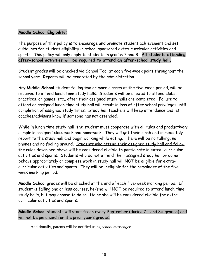# **Middle School Eligibility:**

The purpose of this policy is to encourage and promote student achievement and set guidelines for student eligibility in school sponsored extra-curricular activities and sports. This policy will only apply to students in grades 7 and 8. **All students attending after-school activities will be required to attend an after-school study hall.**

Student grades will be checked via School Tool at each five-week point throughout the school year. Reports will be generated by the administration.

Any **Middle School** student failing two or more classes at the five-week period, will be required to attend lunch time study halls. Students will be allowed to attend clubs, practices, or games, etc., after their assigned study halls are completed. Failure to attend an assigned lunch time study hall will result in loss of after school privileges until completion of assigned study times. Study hall teachers will keep attendance and let coaches/advisors know if someone has not attended.

While in lunch time study hall, the student must cooperate with all rules and productively complete assigned class work and homework. They will get their lunch and immediately report to the study hall and begin working while eating. There will be no talking, no phones and no fooling around. Students who attend their assigned study hall and follow the rules described above will be considered eligible to participate in extra- curricular activities and sports. Students who do not attend their assigned study hall or do not behave appropriately or complete work in study hall will NOT be eligible for extracurricular activities and sports. They will be ineligible for the remainder of the fiveweek marking period.

**Middle School** grades will be checked at the end of each five-week marking period. If student is failing one or less courses, he/she will NOT be required to attend lunch time study halls, but may choose to do so. He or she will be considered eligible for extracurricular activities and sports.

**Middle School** students will start fresh every September (during 7th and 8th grades) and will not be penalized for the prior year's grades.

Additionally, parents will be notified using *school messenger*.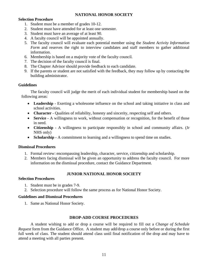## **NATIONAL HONOR SOCIETY**

## **Selection Procedure**

- 1. Student must be a member of grades 10-12.
- 2. Student must have attended for at least one semester.
- 3. Student must have an average of at least 90.
- 4. A faculty council will be appointed annually.
- 5. The faculty council will evaluate each potential member using the *Student Activity Information Form* and reserves the right to interview candidates and staff members to gather additional information.
- 6. Membership is based on a majority vote of the faculty council.
- 7. The decision of the faculty council is final.
- 8. The Chapter Advisor should provide feedback to each candidate.
- 9. If the parents or student are not satisfied with the feedback, they may follow up by contacting the building administrator.

## **Guidelines**

The faculty council will judge the merit of each individual student for membership based on the following areas:

- **Leadership** Exerting a wholesome influence on the school and taking initiative in class and school activities.
- **Character** Qualities of reliability, honesty and sincerity, respecting self and others.
- **Service** A willingness to work, without compensation or recognition, for the benefit of those in need.
- **Citizenship -** A willingness to participate responsibly in school and community affairs. (Jr NHS only)
- **Scholarship** A commitment to learning and a willingness to spend time on studies.

## **Dismissal Procedures**

- 1. Formal review: encompassing leadership, character, service, citizenship and scholarship.
- 2. Members facing dismissal will be given an opportunity to address the faculty council. For more information on the dismissal procedure, contact the Guidance Department.

## **JUNIOR NATIONAL HONOR SOCIETY**

## **Selection Procedures**

- 1. Student must be in grades 7-9.
- 2. Selection procedure will follow the same process as for National Honor Society.

## **Guidelines and Dismissal Procedures**

1. Same as National Honor Society.

## **DROP-ADD COURSE PROCEDURES**

A student wishing to add or drop a course will be required to fill out a *Change of Schedule Request* form from the Guidance Office. A student may add/drop a course only before or during the first full week of class. The student should attend class until final notification of the drop and may have to attend a meeting with all parties present.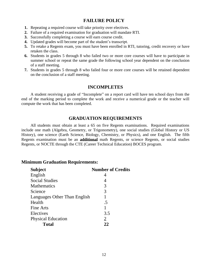## **FAILURE POLICY**

- **1.** Repeating a required course will take priority over electives.
- **2.** Failure of a required examination for graduation will mandate RTI.
- **3.** Successfully completing a course will earn course credit.
- **4.** Updated grades will become part of the student's transcript.
- **5.** To retake a Regents exam, you must have been enrolled in RTI, tutoring, credit recovery or have retaken the class.
- **6.** Students in grades 5 through 8 who failed two or more core courses will have to participate in summer school or repeat the same grade the following school year dependent on the conclusion of a staff meeting.
- **7.** Students in grades 5 through 8 who failed four or more core courses will be retained dependent on the conclusion of a staff meeting.

## **INCOMPLETES**

A student receiving a grade of "Incomplete" on a report card will have ten school days from the end of the marking period to complete the work and receive a numerical grade or the teacher will compute the work that has been completed.

## **GRADUATION REQUIREMENTS**

All students must obtain at least a 65 on five Regents examinations. Required examinations include one math (Algebra, Geometry, or Trigonometry), one social studies (Global History or US History), one science (Earth Science, Biology, Chemistry, or Physics), and one English. The fifth Regents examination must be an **additional** math Regents, or science Regents, or social studies Regents, or NOCTE through the CTE (Career Technical Education) BOCES program.

## **Minimum Graduation Requirements:**

| <b>Subject</b>               | <b>Number of Credits</b> |
|------------------------------|--------------------------|
| English                      | 4                        |
| <b>Social Studies</b>        | 4                        |
| <b>Mathematics</b>           | 3                        |
| Science                      | 3                        |
| Languages Other Than English |                          |
| Health                       | .5                       |
| Fine Arts                    |                          |
| Electives                    | 3.5                      |
| <b>Physical Education</b>    | 2                        |
| <b>Total</b>                 | 22                       |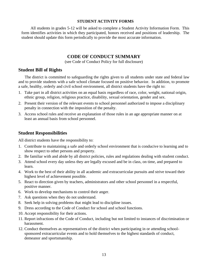## **STUDENT ACTIVITY FORMS**

All students in grades 5-12 will be asked to complete a Student Activity Information Form. This form identifies activities in which they participated, honors received and positions of leadership. The student should update this form periodically to provide the most accurate information.

## **CODE OF CONDUCT SUMMARY**

(see Code of Conduct Policy for full disclosure)

## **Student Bill of Rights**

The district is committed to safeguarding the rights given to all students under state and federal law and to provide students with a safe school climate focused on positive behavior. In addition, to promote a safe, healthy, orderly and civil school environment, all district students have the right to:

- 1. Take part in all district activities on an equal basis regardless of race, color, weight, national origin, ethnic group, religion, religious practice, disability, sexual orientation, gender and sex.
- 2. Present their version of the relevant events to school personnel authorized to impose a disciplinary penalty in connection with the imposition of the penalty.
- 3. Access school rules and receive an explanation of those rules in an age appropriate manner on at least an annual basis from school personnel.

## **Student Responsibilities**

All district students have the responsibility to:

- 1. Contribute to maintaining a safe and orderly school environment that is conducive to learning and to show respect to other persons and property.
- 2. Be familiar with and abide by all district policies, rules and regulations dealing with student conduct.
- 3. Attend school every day unless they are legally excused and be in class, on time, and prepared to learn.
- 4. Work to the best of their ability in all academic and extracurricular pursuits and strive toward their highest level of achievement possible.
- 5. React to direction given by teachers, administrators and other school personnel in a respectful, positive manner.
- 6. Work to develop mechanisms to control their anger.
- 7. Ask questions when they do not understand.
- 8. Seek help in solving problems that might lead to discipline issues.
- 9. Dress according to the Code of Conduct for school and school functions.
- 10. Accept responsibility for their actions.
- 11. Report infractions of the Code of Conduct, including but not limited to instances of discrimination or harassment.
- 12. Conduct themselves as representatives of the district when participating in or attending schoolsponsored extracurricular events and to hold themselves to the highest standards of conduct, demeanor and sportsmanship.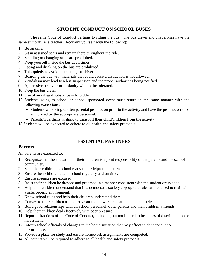# **STUDENT CONDUCT ON SCHOOL BUSES**

The same Code of Conduct pertains to riding the bus. The bus driver and chaperones have the same authority as a teacher. Acquaint yourself with the following:

- 1. Be on time.
- 2. Sit in assigned seats and remain there throughout the ride.
- 3. Standing or changing seats are prohibited.
- 4. Keep yourself inside the bus at all times.
- 5. Eating and drinking on the bus are prohibited.
- 6. Talk quietly to avoid distracting the driver.
- 7. Boarding the bus with materials that could cause a distraction is not allowed.
- 8. Vandalism may lead to a bus suspension and the proper authorities being notified.
- 9. Aggressive behavior or profanity will not be tolerated.
- 10. Keep the bus clean.
- 11. Use of any illegal substance is forbidden.
- 12. Students going to school or school sponsored event must return in the same manner with the following exceptions:
	- Students who bring written parental permission prior to the activity and have the permission slips authorized by the appropriate personnel.
	- Parents/Guardians wishing to transport their child/children from the activity.
- 13.Students will be expected to adhere to all health and safety protocols.

# **ESSENTIAL PARTNERS**

## **Parents**

All parents are expected to:

- 1. Recognize that the education of their children is a joint responsibility of the parents and the school community.
- 2. Send their children to school ready to participate and learn.
- 3. Ensure their children attend school regularly and on time.
- 4. Ensure absences are excused.
- 5. Insist their children be dressed and groomed in a manner consistent with the student dress code.
- 6. Help their children understand that in a democratic society appropriate rules are required to maintain a safe, orderly environment.
- 7. Know school rules and help their children understand them.
- 8. Convey to their children a supportive attitude toward education and the district.
- 9. Build good relationships with all school personnel, other parents and their children's friends.
- 10. Help their children deal effectively with peer pressure.
- 11. Report infractions of the Code of Conduct, including but not limited to instances of discrimination or harassment.
- 12. Inform school officials of changes in the home situation that may affect student conduct or performance.
- 13. Provide a place for study and ensure homework assignments are completed.
- 14. All parents will be required to adhere to all health and safety protocols.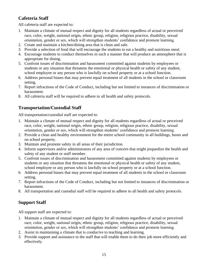# **Cafeteria Staff**

All cafeteria staff are expected to:

- 1. Maintain a climate of mutual respect and dignity for all students regardless of actual or perceived race, color, weight, national origin, ethnic group, religion, religious practice, disability, sexual orientation, gender or sex, which will strengthen students' confidence and promote learning.
- 2. Create and maintain a kitchen/dining area that is clean and safe.
- 3. Provide a selection of food that will encourage the students to eat a healthy and nutritious meal.
- 4. Encourage students to conduct themselves in such a manner that will produce an atmosphere that is appropriate for dining.
- 5. Confront issues of discrimination and harassment committed against students by employees or students or any situation that threatens the emotional or physical health or safety of any student, school employee or any person who is lawfully on school property or at a school function.
- 6. Address personal biases that may prevent equal treatment of all students in the school or classroom setting.
- 7. Report infractions of the Code of Conduct, including but not limited to instances of discrimination or harassment.
- 8. All cafeteria staff will be required to adhere to all health and safety protocols.

# **Transportation/Custodial Staff**

All transportation/custodial staff are expected to:

- 1. Maintain a climate of mutual respect and dignity for all students regardless of actual or perceived race, color, weight, national origin, ethnic group, religion, religious practice, disability, sexual orientation, gender or sex, which will strengthen students' confidence and promote learning.
- 2. Provide a clean and healthy environment for the entire school community in all buildings, buses and on school property.
- 3. Maintain and promote safety in all areas of their jurisdiction.
- 4. Inform supervisors and/or administrators of any area of concern that might jeopardize the health and safety of any student or staff member.
- 5. Confront issues of discrimination and harassment committed against students by employees or students or any situation that threatens the emotional or physical health or safety of any student, school employee or any person who is lawfully on school property or at a school function.
- 6. Address personal biases that may prevent equal treatment of all students in the school or classroom setting.
- 7. Report infractions of the Code of Conduct, including but not limited to instances of discrimination or harassment.
- 8. All transportation and custodial staff will be required to adhere to all health and safety protocols.

# **Support Staff**

All support staff are expected to:

- 1. Maintain a climate of mutual respect and dignity for all students regardless of actual or perceived race, color, weight, national origin, ethnic group, religion, religious practice, disability, sexual orientation, gender or sex, which will strengthen students' confidence and promote learning.
- 2. Assist in maintaining a climate that is conducive to teaching and learning.
- 3. Provide support and assistance to the staff that will enable them to do their job more efficiently and effectively.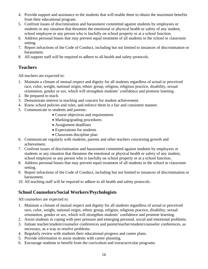- 4. Provide support and assistance to the students that will enable them to obtain the maximum benefits from their educational program.
- 5. Confront issues of discrimination and harassment committed against students by employees or students or any situation that threatens the emotional or physical health or safety of any student, school employee or any person who is lawfully on school property or at a school function.
- 6. Address personal biases that may prevent equal treatment of all students in the school or classroom setting.
- 7. Report infractions of the Code of Conduct, including but not limited to instances of discrimination or harassment.
- 8. All support staff will be required to adhere to all health and safety protocols.

# **Teachers**

All teachers are expected to:

- 1. Maintain a climate of mutual respect and dignity for all students regardless of actual or perceived race, color, weight, national origin, ethnic group, religion, religious practice, disability, sexual orientation, gender or sex, which will strengthen students' confidence and promote learning.
- 2. Be prepared to teach.
- 3. Demonstrate interest in teaching and concern for student achievement.
- 4. Know school policies and rules, and enforce them in a fair and consistent manner.
- 5. Communicate to students and parents:
	- Course objectives and requirements
	- Marking/grading procedures
	- Assignment deadlines
	- Expectations for students
	- Classroom discipline plan
- 6. Communicate regularly with students, parents and other teachers concerning growth and achievement.
- 7. Confront issues of discrimination and harassment committed against students by employees or students or any situation that threatens the emotional or physical health or safety of any student, school employee or any person who is lawfully on school property or at a school function.
- 8. Address personal biases that may prevent equal treatment of all students in the school or classroom setting.
- 9. Report infractions of the Code of Conduct, including but not limited to instances of discrimination or harassment.
- 10. All teaching staff will be required to adhere to all health and safety protocols.

# **School Counselors/Social Workers/Psychologists**

All counselors are expected to:

- 1. Maintain a climate of mutual respect and dignity for all students regardless of actual or perceived race, color, weight, national origin, ethnic group, religion, religious practice, disability, sexual orientation, gender or sex, which will strengthen students' confidence and promote learning.
- 2. Assist students in coping with peer pressure and emerging personal, social and emotional problems.
- 3. Initiate teacher/student/counselor conferences and parent/teacher/student/counselor conferences, as necessary, as a way to resolve problems.
- 4. Regularly review with students their educational progress and career plans.
- 5. Provide information to assist students with career planning.
- 6. Encourage students to benefit from the curriculum and extracurricular programs.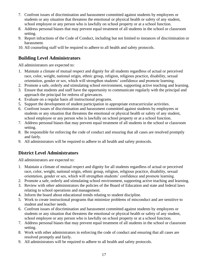- 7. Confront issues of discrimination and harassment committed against students by employees or students or any situation that threatens the emotional or physical health or safety of any student, school employee or any person who is lawfully on school property or at a school function.
- 8. Address personal biases that may prevent equal treatment of all students in the school or classroom setting.
- 9. Report infractions of the Code of Conduct, including but not limited to instances of discrimination or harassment.
- 10. All counseling staff will be required to adhere to all health and safety protocols.

# **Building Level Administrators**

All administrators are expected to:

- 1. Maintain a climate of mutual respect and dignity for all students regardless of actual or perceived race, color, weight, national origin, ethnic group, religion, religious practice, disability, sexual orientation, gender or sex, which will strengthen students' confidence and promote learning.
- 2. Promote a safe, orderly and stimulating school environment, supporting active teaching and learning.
- 3. Ensure that students and staff have the opportunity to communicate regularly with the principal and approach the principal for redress of grievances.
- 4. Evaluate on a regular basis all instructional programs.
- 5. Support the development of student participation in appropriate extracurricular activities.
- 6. Confront issues of discrimination and harassment committed against students by employees or students or any situation that threatens the emotional or physical health or safety of any student, school employee or any person who is lawfully on school property or at a school function.
- 7. Address personal biases that may prevent equal treatment of all students in the school or classroom setting.
- 8. Be responsible for enforcing the code of conduct and ensuring that all cases are resolved promptly and fairly.
- 9. All administrators will be required to adhere to all health and safety protocols.

# **District Level Administrators**

All administrators are expected to:

- 1. Maintain a climate of mutual respect and dignity for all students regardless of actual or perceived race, color, weight, national origin, ethnic group, religion, religious practice, disability, sexual orientation, gender or sex, which will strengthen students' confidence and promote learning.
- 2. Promote a safe, orderly and stimulating school environment, supporting active teaching and learning.
- 3. Review with other administrators the policies of the Board of Education and state and federal laws relating to school operations and management.
- 4. Inform the board about educational trends relating to student discipline.
- 5. Work to create instructional programs that minimize problems of misconduct and are sensitive to student and teacher needs.
- 6. Confront issues of discrimination and harassment committed against students by employees or students or any situation that threatens the emotional or physical health or safety of any student, school employee or any person who is lawfully on school property or at a school function.
- 7. Address personal biases that may prevent equal treatment of all students in the school or classroom setting.
- 8. Work with other administrators in enforcing the code of conduct and ensuring that all cases are resolved promptly and fairly.
- 9. All administrators will be required to adhere to all health and safety protocols.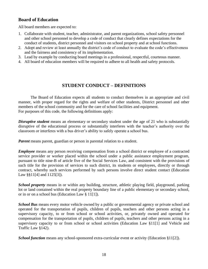# **Board of Education**

All board members are expected to:

- 1. Collaborate with student, teacher, administrator, and parent organizations, school safety personnel and other school personnel to develop a code of conduct that clearly defines expectations for the conduct of students, district personnel and visitors on school property and at school functions.
- 2. Adopt and review at least annually the district's code of conduct to evaluate the code's effectiveness and the fairness and consistency of its implementation.
- 3. Lead by example by conducting board meetings in a professional, respectful, courteous manner.
- 4. All board of education members will be required to adhere to all health and safety protocols.

# **STUDENT CONDUCT – DEFINITIONS**

The Board of Education expects all students to conduct themselves in an appropriate and civil manner, with proper regard for the rights and welfare of other students, District personnel and other members of the school community and for the care of school facilities and equipment. For purposes of this code, the following definitions apply:

*Disruptive student* means an elementary or secondary student under the age of 21 who is substantially disruptive of the educational process or substantially interferes with the teacher's authority over the classroom or interferes with a bus driver's ability to safely operate a school bus.

*Parent* means parent, guardian or person in parental relation to a student.

*Employee* means any person receiving compensation from a school district or employee of a contracted service provider or worker placed within the school under a public assistance employment program, pursuant to title nine-B of article five of the Social Services Law, and consistent with the provisions of such title for the provision of services to such district, its students or employees, directly or through contract, whereby such services performed by such persons involve direct student contact (Education Law §§11[4] and 1125[3]).

*School property* means in or within any building, structure, athletic playing field, playground, parking lot or land contained within the real property boundary line of a public elementary or secondary school, or in or on a school bus (Education Law § 11[1]).

*School Bus* means every motor vehicle owned by a public or governmental agency or private school and operated for the transportation of pupils, children of pupils, teachers and other persons acting in a supervisory capacity, to or from school or school activities, or, privately owned and operated for compensation for the transportation of pupils, children of pupils, teachers and other persons acting in a supervisory capacity to or from school or school activities (Education Law §11[1] and Vehicle and Traffic Law §142).

*School function* means any school-sponsored extra-curricular event or activity (Education §11[2]).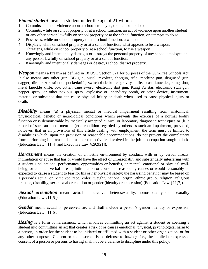*Violent student* means a student under the age of 21 whom:

- 1. Commits an act of violence upon a school employee, or attempts to do so.
- 2. Commits, while on school property or at a school function, an act of violence upon another student or any other person lawfully on school property or at the school function, or attempts to do so.
- 3. Possesses, while on school property or at a school function, a weapon.
- 4. Displays, while on school property or at a school function, what appears to be a weapon.
- 5. Threatens, while on school property or at a school function, to use a weapon.
- 6. Knowingly and intentionally damages or destroys the personal property of any school employee or any person lawfully on school property or at a school function.
- 7. Knowingly and intentionally damages or destroys school district property.

*Weapon* means a firearm as defined in 18 USC Section 921 for purposes of the Gun-Free Schools Act. It also means any other gun, BB gun, pistol, revolver, shotgun, rifle, machine gun, disguised gun, dagger, dirk, razor, stiletto, pocketknife, switchblade knife, gravity knife, brass knuckles, sling shot, metal knuckle knife, box cutter, cane sword, electronic dart gun, Kung Fu star, electronic stun gun, pepper spray, or other noxious spray, explosive or incendiary bomb, or other device, instrument, material or substance that can cause physical injury or death when used to cause physical injury or death.

**Disability** means (a) a physical, mental or medical impairment resulting from anatomical, physiological, genetic or neurological conditions which prevents the exercise of a normal bodily function or is demonstrable by medically accepted clinical or laboratory diagnostic techniques or (b) a record of such an impairment or (c) a condition regarded by others as such an impairment, provided, however, that in all provisions of this article dealing with employment, the term must be limited to disabilities which, upon the provision of reasonable accommodations, do not prevent the complainant from performing in a reasonable manner the activities involved in the job or occupation sough or held (Education Law §11[4] and Executive Law §292[21]).

*Harassment* means the creation of a hostile environment by conduct, with or by verbal threats, intimidation or abuse that has or would have the effect of unreasonably and substantially interfering with a student's educational performance, opportunities or benefits, or mental, emotional or physical wellbeing; or conduct, verbal threats, intimidation or abuse that reasonably causes or would reasonably be expected to cause a student to fear for his or her physical safety; the harassing behavior may be based on a person's actual or perceived race, color, weight, national origin, ethnic group, religion, religious practice, disability, sex, sexual orientation or gender (identity or expression) (Education Law §11[7]).

**Sexual orientation** means actual or perceived heterosexuality, homosexuality or bisexuality (Education Law §11[5]).

*Gender* means actual or perceived sex and shall include a person's gender identity or expression (Education Law §11[6].

*Hazing* is a form of harassment, which involves committing an act against a student or coercing a student into committing an act that creates a risk of or causes emotional, physical, psychological harm to a person, in order for the student to be initiated or affiliated with a student or other organization, or for any other purpose. Consent or acquiescence is no defense to hazing: i.e., the implied or expressed consent of a person or persons to hazing shall not be a defense to discipline under this policy.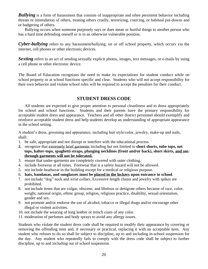*Bullying* is a form of harassment that consists of inappropriate and often persistent behavior including threats or intimidation of others, treating others cruelly, terrorizing, coercing, or habitual put-downs and or badgering of others.

Bullying occurs when someone purposely says or does mean or hurtful things to another person who has a hard time defending oneself or is in an otherwise vulnerable position.

*Cyber-bullying* refers to any harassment/bullying, on or off school property, which occurs via the internet, cell phones or other electronic devices.

**Sexting** refers to an act of sending sexually explicit photos, images, text messages, or e-mails by using a cell phone or other electronic device.

The Board of Education recognizes the need to make its expectations for student conduct while on school property or at school functions specific and clear. Students who will not accept responsibility for their own behavior and violate school rules will be required to accept the penalties for their conduct.

## **STUDENT DRESS CODE**

All students are expected to give proper attention to personal cleanliness and to dress appropriately for school and school functions. Students and their parents have the primary responsibility for acceptable student dress and appearance. Teachers and all other district personnel should exemplify and reinforce acceptable student dress and help students develop an understanding of appropriate appearance in the school setting.

A student's dress, grooming and appearance, including hair style/color, jewelry, make-up and nails, shall:

- 1. be safe, appropriate and not disrupt or interfere with the educational process.
- **2.** recognize that extremely brief garments including but not limited to **short shorts, tube tops, net tops, halter-tops, spaghetti straps, plunging necklines (front and/or back), short skirts, and seethrough garments will not be tolerated.**
- 3. ensure that under-garments are completely covered with outer clothing.
- 4. include footwear at all times. Footwear that is a safety hazard will not be allowed.
- 5. not include headwear in the building except for a medical or religious purpose.
- 6. **hats, bandanas, and sunglasses must be placed in the lockers upon entrance to school**.
- 7. not include "dog" neck and wrist collars. Excessive length chains and jewelry with spikes are prohibited.
- 8. not include items that are vulgar, obscene, and libelous or denigrate others because of race, color, weight, national origin, ethnic group, religion, religious practice, disability, sexual orientation, gender and sex.
- 9. not promote and/or endorse the use of alcohol, tobacco or illegal drugs and/or encourage other illegal or violent activities.
- 10. not include the wearing of long leather or trench coats of any color.
- 11. moderation of perfumes and body sprays to avoid any allergy issues.

Students who violate the student dress code shall be required to modify their appearance by covering or removing the offending item and, if necessary or practical, replacing it with an acceptable item. Any student who refuses to do so shall be subject to discipline, up to and including in-school suspension for the day. Any student who repeatedly fails to comply with the dress code shall be subject to further discipline, up to and including out of school suspension.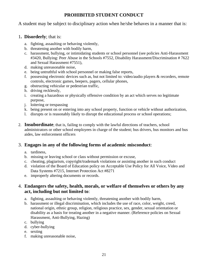# **PROHIBITED STUDENT CONDUCT**

A student may be subject to disciplinary action when he/she behaves in a manner that is:

## 1**. Disorderly**; that is:

- a. fighting, assaulting or behaving violently,
- b. threatening another with bodily harm,
- c. harassment, bullying, or intimidating students or school personnel (see policies Anti-Harassment #3420, Bullying: Peer Abuse in the Schools #7552, Disability Harassment/Discrimination # 7622 and Sexual Harassment #7551),
- d. making unreasonable noise,
- e. being untruthful with school personnel or making false reports,
- f. possessing electronic devices such as, but not limited to: video/audio players & recorders, remote controls, electronic games, beepers, pagers, cellular phones,
- g. obstructing vehicular or pedestrian traffic,
- h. driving recklessly,
- i. creating a hazardous or physically offensive condition by an act which serves no legitimate purpose,
- j. loitering or trespassing
- k. being present on or entering into any school property, function or vehicle without authorization,
- l. disrupts or is reasonably likely to disrupt the educational process or school operations;
- 2. **Insubordinate**; that is, failing to comply with the lawful directions of teachers, school administrators or other school employees in charge of the student; bus drivers, bus monitors and bus aides, law enforcement officers

# 3. **Engages in any of the following forms of academic misconduct**:

- a. tardiness,
- b. missing or leaving school or class without permission or excuse,
- c. cheating, plagiarism, copyright/trademark violations or assisting another in such conduct
- d. violation of the Board of Education policy on Acceptable Use Policy for All Voice, Video and Data Systems #7215, Internet Protection Act #8271
- e. improperly altering documents or records.

## 4. **Endangers the safety, health, morals, or welfare of themselves or others by any act, including but not limited to**:

- a. fighting, assaulting or behaving violently, threatening another with bodily harm,
- b. harassment or illegal discrimination, which includes the use of race, color, weight, creed, national origin, ethnic group, religion, religious practice, sex, gender, sexual orientation or disability as a basis for treating another in a negative manner. (Reference policies on Sexual Harassment, Anti-Bullying, Hazing)
- c. bullying
- d. cyber-bullying
- e. sexting
- f. making unreasonable noise,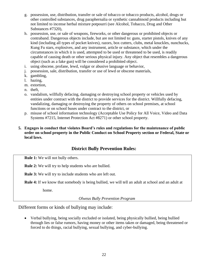- g. possession, use, distribution, transfer or sale of tobacco or tobacco products, alcohol, drugs or other controlled substances, drug paraphernalia or synthetic cannabinoid products including but not limited to incense herbal mixture potpourri (see Alcohol, Tobacco, Drug and Other Substances #7320),
- h. possession, use, or sale of weapons, fireworks, or other dangerous or prohibited objects or contraband. Dangerous objects include, but are not limited to: guns, starter pistols, knives of any kind (including all types of pocket knives), razors, box cutters, clubs, metal knuckles, nunchucks, Kung Fu stars, explosives, and any instrument, article or substance, which under the circumstances in which it is used, attempted to be used or threatened to be used, is readily capable of causing death or other serious physical injury. Any object that resembles a dangerous object (such as a fake gun) will be considered a prohibited object.
- i. using obscene, profane, lewd, vulgar or abusive language or behavior,
- j. possession, sale, distribution, transfer or use of lewd or obscene materials,
- k. gambling,
- l. hazing,
- m. extortion,
- n. theft,
- o. vandalism, willfully defacing, damaging or destroying school property or vehicles used by entities under contract with the district to provide services for the district. Willfully defacing, vandalizing, damaging or destroying the property of others on school premises, at school functions or on school buses under contract to the district, or
- p. misuse of school information technology (Acceptable Use Policy for All Voice, Video and Data Systems #7215, Internet Protection Act #8271) or other school property.

## **5. Engages in conduct that violates Board's rules and regulations for the maintenance of public order on school property in the Public Conduct on School Property section or Federal, State or local laws.**

# **District Bully Prevention Rules:**

**Rule 1:** We will not bully others.

**Rule 2:** We will try to help students who are bullied.

**Rule 3:** We will try to include students who are left out.

**Rule 4:** If we know that somebody is being bullied, we will tell an adult at school and an adult at

home.

*Olweus Bully Prevention Program*

Different forms or kinds of bullying may include:

• Verbal bullying, being socially excluded or isolated, being physically bullied, being bullied through lies or false rumors, having money or other items taken or damaged, being threatened or forced to do things, racial bullying, sexual bullying, and cyber-bullying.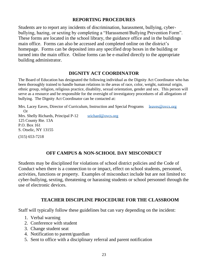## **REPORTING PROCEDURES**

Students are to report any incidents of discrimination, harassment, bullying, cyberbullying, hazing, or sexting by completing a "Harassment/Bullying Prevention Form". These forms are located in the school library, the guidance office and in the buildings main office. Forms can also be accessed and completed online on the district's homepage. Forms can be deposited into any specified drop boxes in the building or turned into the main office. Online forms can be e-mailed directly to the appropriate building administrator.

# **DIGNITY ACT COORDINATOR**

The Board of Education has designated the following individual as the Dignity Act Coordinator who has been thoroughly trained to handle human relations in the areas of race, color, weight, national origin, ethnic group, religion, religious practice, disability, sexual orientation, gender and sex. This person will serve as a resource and be responsible for the oversight of investigatory procedures of all allegations of bullying. The Dignity Act Coordinator can be contacted at:

Mrs. Lacey Eaves, Director of Curriculum, Instruction and Special Programs [leaves@ovcs.org](mailto:leaves@ovcs.org) Or Mrs. Shelly Richards, Principal P-12 [srichard@ovcs.org](mailto:srichard@ovcs.org) 125 County Rte. 13A P.O. Box 161 S. Otselic, NY 13155 (315) 653-7218

# **OFF CAMPUS & NON-SCHOOL DAY MISCONDUCT**

Students may be disciplined for violations of school district policies and the Code of Conduct when there is a connection to or impact, effect on school students, personnel, activities, functions or property. Examples of misconduct include but are not limited to: cyber-bullying, sexting, threatening or harassing students or school personnel through the use of electronic devices.

# **TEACHER DISCIPLINE PROCEDURE FOR THE CLASSROOM**

Staff will typically follow these guidelines but can vary depending on the incident:

- 1. Verbal warning
- 2. Conference with student
- 3. Change student seat
- 4. Notification to parent/guardian
- 5. Sent to office with a disciplinary referral and parent notification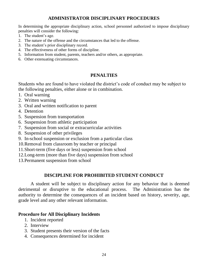# **ADMINISTRATOR DISCIPLINARY PROCEDURES**

In determining the appropriate disciplinary action, school personnel authorized to impose disciplinary penalties will consider the following:

- 1. The student's age.
- 2. The nature of the offense and the circumstances that led to the offense.
- 3. The student's prior disciplinary record.
- 4. The effectiveness of other forms of discipline.
- 5. Information from student, parents, teachers and/or others, as appropriate.
- 6. Other extenuating circumstances.

# **PENALTIES**

Students who are found to have violated the district's code of conduct may be subject to the following penalties, either alone or in combination.

- 1. Oral warning
- 2. Written warning
- 3. Oral and written notification to parent
- 4. Detention
- 5. Suspension from transportation
- 6. Suspension from athletic participation
- 7. Suspension from social or extracurricular activities
- 8. Suspension of other privileges
- 9. In-school suspension or exclusion from a particular class
- 10.Removal from classroom by teacher or principal
- 11.Short-term (five days or less) suspension from school
- 12.Long-term (more than five days) suspension from school
- 13.Permanent suspension from school

# **DISCIPLINE FOR PROHIBITED STUDENT CONDUCT**

A student will be subject to disciplinary action for any behavior that is deemed detrimental or disruptive to the educational process. The Administration has the authority to determine the consequences of an incident based on history, severity, age, grade level and any other relevant information.

# **Procedure for All Disciplinary Incidents**

- 1. Incident reported
- 2. Interview
- 3. Student presents their version of the facts
- 4. Consequences determined for incident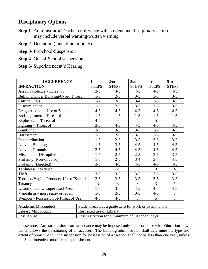# **Disciplinary Options**

- **Step 1** Administrator/Teacher conference with student and disciplinary action may include verbal warning/written warning
- **Step 2-** Detention (lunchtime or other)
- **Step 3-** In-School-Suspension
- **Step 4-** Out-of-School suspension
- **Step 5-** Superintendent's Hearing

| <b>OCCURRENCE</b>                      | 1sr            | 2 <sub>ND</sub> | 3 <sub>RD</sub> | $4$ TH         | 5TH            |
|----------------------------------------|----------------|-----------------|-----------------|----------------|----------------|
| <b>INFRACTION</b>                      | <b>STEPS</b>   | <b>STEPS</b>    | <b>STEPS</b>    | <b>STEPS</b>   | <b>STEPS</b>   |
| Assault/violence - Threat of           | $3 - 5$        | $4 - 5$         | $4 - 5$         | $4 - 5$        | $4 - 5$        |
| Bullying/Cyber Bullying/Cyber Threat   | $1 - 5$        | $2 - 5$         | $3 - 5$         | $3 - 5$        | $3 - 5$        |
| <b>Cutting Class</b>                   | $1 - 2$        | $2 - 3$         | $3-4$           | $3 - 5$        | $3 - 5$        |
| Discrimination                         | $1 - 5$        | $2 - 5$         | $3 - 5$         | $3 - 5$        | $3 - 5$        |
| Drugs/Alcohol - Use of/Sale of         | $4 - 5$        | $4 - 5$         | $4 - 5$         | $4 - 5$        | $4 - 5$        |
| Endangerment - Threat of               | $1 - 5$        | $1 - 5$         | $1 - 5$         | $1 - 5$        | $1 - 5$        |
| Explosives – Threat of                 | $4 - 5$        | 5               | $5\overline{)}$ | 5              | 5 <sup>5</sup> |
| Fighting – Threat of                   | $3 - 5$        | $4 - 5$         | $4 - 5$         | $4 - 5$        | $4 - 5$        |
| Gambling                               | $3 - 5$        | $3 - 5$         | $3 - 5$         | $3 - 5$        | $3 - 5$        |
| Harassment                             | $1 - 5$        | $2 - 5$         | $3 - 5$         | $3 - 5$        | $3 - 5$        |
| Insubordination                        | $1 - 5$        | $2 - 5$         | $3 - 5$         | $3 - 5$        | $3 - 5$        |
| Leaving Building                       | $1 - 5$        | $3 - 5$         | $4 - 5$         | $4 - 5$        | $4 - 5$        |
| Leaving Grounds                        | $3 - 5$        | $4 - 5$         | $4 - 5$         | $4 - 5$        | $4 - 5$        |
| Misconduct-Disruptive                  | $1 - 5$        | $2 - 5$         | $2 - 5$         | $3 - 5$        | $3 - 5$        |
| Profanity (Non-directed)               | $1 - 3$        | $2 - 3$         | $3-4$           | $3-4$          | $4 - 5$        |
| Profanity (Directed)                   | $3 - 5$        | $4 - 5$         | $4 - 5$         | $4 - 5$        | $4 - 5$        |
| Tardiness-unexcused                    | $\mathbf{1}$   | $\overline{2}$  | $\overline{3}$  | 3              | $\overline{4}$ |
| Theft                                  | $3 - 5$        | $3 - 5$         | $3 - 5$         | $3 - 5$        | $3 - 5$        |
| Tobacco/Vaping Products-Use of/Sale of | $3 - 5$        | $3 - 5$         | $3 - 5$         | $3 - 5$        | $3 - 5$        |
| Truancy                                | $\overline{3}$ | $\overline{3}$  | 3               | $\overline{3}$ | 5              |
| Unauthorized Unsupervised Area         | $1 - 5$        | $3 - 5$         | $4 - 5$         | $4 - 5$        | $4 - 5$        |
| Vandalism – must repay or repair       | $1 - 5$        | $2 - 5$         | $3 - 5$         | $4 - 5$        | 5              |
| Weapon – Possession of/Threat of Use   | $4 - 5$        | $4 - 5$         | 5               | 5              | 5              |

| <b>Academic Misconduct</b> | <sup>1</sup> Student receives a grade zero for work or examination |
|----------------------------|--------------------------------------------------------------------|
| Library Misconduct         | Restricted use of Library                                          |
| Pass Abuse                 | Pass restriction for a minimum of 10 school days                   |

Please note: Any suspension from attendance may be imposed only in accordance with Education Law, which allows the questioning of an accuser. The building administrator shall determine the type and extent of punishment. The suspension for possession of a weapon shall not be less than one year, unless the Superintendent modifies the punishment.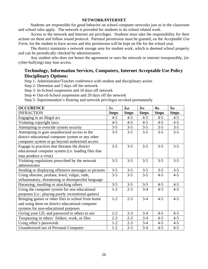#### **NETWORK/INTERNET**

Students are responsible for good behavior on school computer networks just as in the classroom and school rules apply. The network is provided for students to do school related work.

Access to the network and Internet are privileges. Students must take the responsibility for their actions on these and follow sound protocol. Parental permission must be granted, on the *Acceptable Use Form*, for the student to have access and this permission will be kept on file for the school year.

The district maintains a network storage area for student work, which is deemed school property and can be periodically checked by administrators.

Any student who does not honor the agreement or uses the network or internet irresponsibly, (ie: cyber-bullying) may lose access.

# **Technology, Information Services, Computers, Internet Acceptable Use Policy Disciplinary Options:**

Step 1- Administrator/Teacher conference with student and disciplinary action

Step 2- Detention and 5 days off the network

Step 3- In-School suspension and 10 days off network

Step 4- Out-of-School suspension and 20 days off the network

Step 5- Superintendent's Hearing and network privileges revoked permanently

| <b>OCCURENCE</b>                                     | 1 <sub>st</sub> | 2 <sub>nd</sub> | 3rd          | 4 <sub>th</sub> | 5 <sub>th</sub> |
|------------------------------------------------------|-----------------|-----------------|--------------|-----------------|-----------------|
| <b>INFRACTION</b>                                    | <b>Steps</b>    | <b>Steps</b>    | <b>Steps</b> | <b>Steps</b>    | <b>Steps</b>    |
| Engaging in an illegal act                           | $4 - 5$         | $4 - 5$         | $4 - 5$      | $4 - 5$         | $4 - 5$         |
| Violating copyright laws                             | $4 - 5$         | $4 - 5$         | $4 - 5$      | $4 - 5$         | $4 - 5$         |
| Attempting to override system security               | $3 - 5$         | $3 - 5$         | $3 - 5$      | $3 - 5$         | $3 - 5$         |
| Attempting to gain unauthorized access to the        | $3 - 5$         | $3 - 5$         | $3 - 5$      | $3 - 5$         | $3 - 5$         |
| district educational computer system or any other    |                 |                 |              |                 |                 |
| computer system or go beyond authorized access       |                 |                 |              |                 |                 |
| Engage in practices that threaten the district       | $3 - 5$         | $3 - 5$         | $3 - 5$      | $3 - 5$         | $3 - 5$         |
| educational computer system (i.e. loading files that |                 |                 |              |                 |                 |
| may produce a virus)                                 |                 |                 |              |                 |                 |
| Violating regulations prescribed by the network      | $3 - 5$         | $3 - 5$         | $3 - 5$      | $3 - 5$         | $3 - 5$         |
| administrator                                        |                 |                 |              |                 |                 |
| Sending or displaying offensive messages or pictures | $3 - 5$         | $3 - 5$         | $3 - 5$      | $3 - 5$         | $3 - 5$         |
| Using obscene, profane, lewd, vulgar, rude,          | $3 - 5$         | $3 - 5$         | $3 - 5$      | $4 - 5$         | $4 - 5$         |
| inflammatory, threatening or disrespectful language  |                 |                 |              |                 |                 |
| Harassing, insulting or attacking others             | $3 - 5$         | $3 - 5$         | $3 - 5$      | $4 - 5$         | $4 - 5$         |
| Using the computer system for non educational        | $1 - 2$         | $2 - 3$         | $3 - 4$      | $4 - 5$         | $4 - 5$         |
| purposes (i.e.: playing purely recreational games)   |                 |                 |              |                 |                 |
| Bringing games or other files to school from home    | $1 - 2$         | $2 - 3$         | $3-4$        | $4 - 5$         | $4 - 5$         |
| and using them on district educational computer      |                 |                 |              |                 |                 |
| systems for non-educational purposes                 |                 |                 |              |                 |                 |
| Giving your I.D. and password to others to use       | $1-2$           | $2 - 3$         | $3-4$        | $4 - 5$         | $4 - 5$         |
| Trespassing in others' folders, work, or files       | $2 - 3$         | $2 - 3$         | $3-4$        | $4 - 5$         | $4 - 5$         |
| Using other's passwords                              | $1 - 2$         | $2 - 3$         | $3-4$        | $4 - 5$         | $4 - 5$         |
| Unauthorized use of Personal Computer                | $1 - 2$         | $2 - 3$         | $3 - 4$      | $4 - 5$         | $4 - 5$         |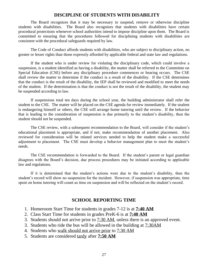## **DISCIPLINE OF STUDENTS WITH DISABILITY**

The Board recognizes that it may be necessary to suspend, remove or otherwise discipline students with disabilities. The Board also recognizes that students with disabilities have certain procedural protections whenever school authorities intend to impose discipline upon them. The Board is committed to ensuring that the procedures followed for disciplining students with disabilities are consistent with the procedural safeguards required by law.

The Code of Conduct affords students with disabilities, who are subject to disciplinary action, no greater or lesser rights than those expressly afforded by applicable federal and state law and regulations.

If the student who is under review for violating the disciplinary code, which could involve a suspension, is a student identified as having a disability, the matter shall be referred to the Committee on Special Education (CSE) before any disciplinary procedure commences or hearing occurs. The CSE shall review the matter to determine if the conduct is a result of the disability. If the CSE determines that the conduct is the result of the disability, the IEP shall be reviewed and modified to meet the needs of the student. If the determination is that the conduct is not the result of the disability, the student may be suspended according to law.

If suspensions total ten days during the school year, the building administrator shall refer the student to the CSE. The matter will be placed on the CSE agenda for review immediately. If the student is endangering himself or others, the CSE will arrange home tutoring until the review. If the behavior that is leading to the consideration of suspension is due primarily to the student's disability, then the student should not be suspended.

The CSE review, with a subsequent recommendation to the Board, will consider if the student's educational placement is appropriate, and if not, make recommendation of another placement. Also reviewed for consideration will be related services needed to help the student make a successful adjustment to placement. The CSE must develop a behavior management plan to meet the student's needs.

The CSE recommendation is forwarded to the Board. If the student's parent or legal guardian disagrees with the Board's decision, due process procedures may be initiated according to applicable law and regulations.

If it is determined that the student's actions were due to the student's disability, then the student's record will show no suspension for the incident. However, if suspension was appropriate, time spent on home tutoring will count as time on suspension and will be reflected on the student's record.

## **SCHOOL REPORTING TIME**

- 1. Homeroom Start Time for students in grades 7-12 is at **7:40 AM**
- 2. Class Start Time for students in grades PreK-6 is at **7:40 AM**
- 3. Students should not arrive prior to 7:30 AM, unless there is an approved event.
- 3. Students who ride the bus will be allowed in the building at 7:30AM
- 4. Students who walk should not arrive prior to 7:30 AM
- 5. Students are considered tardy after **7:50 AM**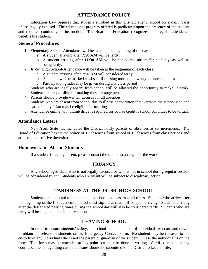## **ATTENDANCE POLICY**

Education Law requires that students enrolled in this District attend school on a daily basis unless legally excused. The educational program offered is predicated upon the presence of the student and requires continuity of instruction. The Board of Education recognizes that regular attendance benefits the student.

## **General Procedures**

- 1. Elementary School-Attendance will be taken at the beginning of the day
	- a. A student arriving after **7:50 AM** will be tardy.
	- b. A student arriving after **11:30 AM** will be considered absent for half day, as well as being tardy.
- 2. Jr.-Sr. High School-Attendance will be taken at the beginning of each class
	- a. A student arriving after **7:50 AM** will considered tardy
	- b. A student will be marked as absent if missing more than twenty minutes of a class
	- c. Participation grades may be given during any class period
- 3. Students who are legally absent from school will be allowed the opportunity to make up work. Students are responsible for making these arrangements.
- 4. Parents should provide written excuses for all absences.
- 5. Students who are absent from school due to illness or condition that warrants the supervision and care of a physician may be eligible for tutoring.
- 6. Attendance online with thumb drive is required for course credit if school continues to be virtual.

## **Attendance Letters**

New York State has mandated the District notify parents of absences at set increments. The Board of Education has set the policy of 10 absences from school or 10 absences from class periods and at increments of five thereafter.

## **Homework for Absent Students**

If a student is legally absent, please contact the school to arrange for the work.

## **TRUANCY**

Any school aged child who is not legally excused or who is not in school during regular session will be considered truant. Students who are truant will be subject to disciplinary action.

## **TARDINESS AT THE JR.-SR. HIGH SCHOOL**

Students are expected to be punctual to school and classes at all times. Students who arrive after the beginning of the first academic period must sign in at main office upon arriving. Students arriving after the designated passing times during the school day will also be considered tardy. Students who are tardy will be subject to disciplinary action.

## **LEAVING SCHOOL**

In order to ensure students' safety, the school maintains a list of individuals who are authorized to obtain the release of students on the Emergency Contact Form. No student may be released to the custody of any individual who is not the parent or guardian of the student, unless the individual is on the form. This form may be amended at any point but must be done in writing. Certified copies of any court documents regarding custodial issues should be submitted to the District to keep on file.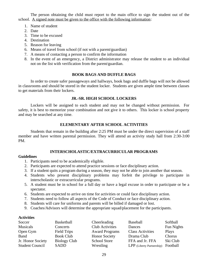The person obtaining the child must report to the main office to sign the student out of the school. A signed note must be given to the office with the following information:

- 1. Name of student
- 2. Date
- 3. Time to be excused
- 4. Destination
- 5. Reason for leaving
- 6. Means of travel from school (if not with a parent/guardian)
- 7. A means of contacting a person to confirm the information
- 8. In the event of an emergency, a District administrator may release the student to an individual not on the list with verification from the parent/guardian.

## **BOOK BAGS AND DUFFLE BAGS**

In order to create safer passageways and hallways, book bags and duffle bags will not be allowed in classrooms and should be stored in the student locker. Students are given ample time between classes to get materials from their lockers.

## **JR.-SR. HIGH SCHOOL LOCKERS**

Lockers will be assigned to each student and may not be changed without permission. For safety, it is best to memorize your combination and not give it to others. This locker is school property and may be searched at any time.

## **ELEMENTARY AFTER SCHOOL ACTIVITIES**

Students that remain in the building after 2:25 PM must be under the direct supervision of a staff member and have written parental permission. They will attend an activity study hall from 2:30-3:00 PM.

## **INTERSCHOLASTIC/EXTRACURRICULAR PROGRAMS**

## **Guidelines**

- 1. Participants need to be academically eligible.
- 2. Participants are expected to attend practice sessions or face disciplinary action.
- 3. If a student quits a program during a season, they may not be able to join another that season.
- 4. Students who present disciplinary problems may forfeit the privilege to participate in interscholastic or extracurricular programs.
- 5. A student must be in school for a full day or have a legal excuse in order to participate or be a spectator.
- 6. Students are expected to arrive on time for activities or could face disciplinary action.
- 7. Students need to follow all aspects of the Code of Conduct or face disciplinary action.
- 8. Students will care for uniforms and parents will be billed if damaged or lost.
- 9. Coaches/Advisors will determine the appropriate squad/placement for the participants.

## **Activities**

| Soccer                 | <b>Basketball</b> | Cheerleading           | Baseball                  | Softball     |
|------------------------|-------------------|------------------------|---------------------------|--------------|
| <b>Musicals</b>        | Concerts          | <b>Club Activities</b> | Dances                    | Fun Nights   |
| Open Gym               | Field Trips       | <b>Award Programs</b>  | <b>Class Activities</b>   | <b>Plays</b> |
| <b>Band</b>            | <b>Book Club</b>  | <b>Honor Society</b>   | Drama Club                | Chorus       |
| Jr. Honor Society      | Biology Club      | <b>School Store</b>    | FFA and Jr. FFA           | Ski Club     |
| <b>Student Council</b> | SADD              | Wrestling              | LPP (Liberty Partnership) | Football     |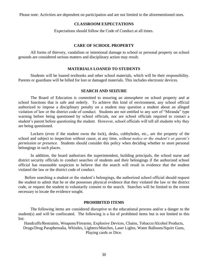Please note: Activities are dependent on participation and are not limited to the aforementioned ones.

## **CLASSROOM EXPECTATIONS**

Expectations should follow the Code of Conduct at all times.

## **CARE OF SCHOOL PROPERTY**

All forms of thievery, vandalism or intentional damage to school or personal property on school grounds are considered serious matters and disciplinary action may result.

#### **MATERIALS LOANED TO STUDENTS**

Students will be loaned textbooks and other school materials, which will be their responsibility. Parents or guardians will be billed for lost or damaged materials. This includes electronic devices.

#### **SEARCH AND SEIZURE**

The Board of Education is committed to ensuring an atmosphere on school property and at school functions that is safe and orderly. To achieve this kind of environment, any school official authorized to impose a disciplinary penalty on a student may question a student about an alleged violation of law or the district code of conduct. Students are not entitled to any sort of "Miranda" type warning before being questioned by school officials, nor are school officials required to contact a student's parent before questioning the student. However, school officials will tell all students why they are being questioned.

Lockers (even if the student owns the lock), desks, cubbyholes, etc., are the property of the school and subject to inspection *without cause*, at any time, *without notice or the student's or parent's permission or presence.* Students should consider this policy when deciding whether to store personal belongings in such places.

In addition, the board authorizes the superintendent, building principals, the school nurse and district security officials to conduct searches of students and their belongings if the authorized school official has reasonable suspicion to believe that the search will result in evidence that the student violated the law or the district code of conduct.

Before searching a student or the student's belongings, the authorized school official should request the student to admit that he or she possesses physical evidence that they violated the law or the district code, or request the student to voluntarily consent to the search. Searches will be limited to the extent necessary to locate the evidence sought.

## **PROHIBITED ITEMS**

The following items are considered disruptive to the educational process and/or a danger to the student(s) and will be confiscated. The following is a list of prohibited items but is not limited to this list:

Handcuffs/Restraints, Weapons/Firearms, Explosive Devices, Chains, Tobacco/Alcohol Products, Drugs/Drug Paraphernalia, Whistles, Lighters/Matches, Laser Lights, Water Balloons/Squirt Guns, Playing cards or Dice.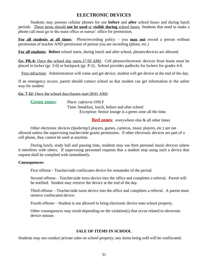## **ELECTRONIC DEVICES**

Students may possess cellular phones for use **before** and **after** school hours and during lunch periods. These items should **not be used** or **visible during** school hours. Students that need to make a phone call must go to the main office or nurses' office for permission.

**For all students at all times**: Photo/recording policy – you **may not** record a person without permission of teacher AND permission of person you are recording (photo, etc.)

**For all students**: **Before** school starts, during lunch and after school, phones/devices are allowed.

**Gr. PK-6**: Once the school day starts (7:50 AM): Cell phones/electronic devices from home must be placed in locker (gr. 3-6) or backpack (gr. P-2). School provides padlocks for lockers for grades 4-6.

First infraction: Administration will come and get device, student will get device at the end of the day.

If an emergency occurs, parent should contact school so that student can get information in the safest way for student.

**Gr. 7-12**: Once the school day/classes start (8:01 AM):

| <b>Green zones:</b> | Place: cafeteria ONLY                                  |
|---------------------|--------------------------------------------------------|
|                     | Time: breakfast, lunch, before and after school        |
|                     | Exception: Senior lounge is a green zone all the time. |

**Red zones**: everywhere else & all other times

Other electronic devices (Ipods/mp3 players, games, cameras, music players, etc.) are not allowed unless the supervising teacher/aide grants permission. If other electronic devices are part of a cell phone, they cannot be used at anytime.

During lunch, study hall and passing time, students may use their personal music devices unless it interferes with others. If supervising personnel requests that a student stop using such a device that request shall be complied with immediately.

## **Consequences:**

First offense - Teacher/aide confiscates device for remainder of the period.

Second offense – Teacher/aide turns device into the office and completes a referral. Parent will be notified. Student may retrieve the device at the end of the day.

Third offense – Teacher/aide turns device into the office and completes a referral. A parent must retrieve confiscated device.

Fourth offense – Student is not allowed to bring electronic device onto school property.

Other consequences may result depending on the violation(s) that occur related to electronic device misuse.

## **SALE OF ITEMS IN SCHOOL**

Students may not conduct private sales on school property; any items being sold will be confiscated.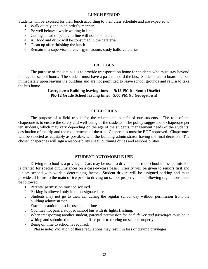## **LUNCH PERIOD**

Students will be excused for their lunch according to their class schedule and are expected to:

- 1. Walk quietly and in an orderly manner.
- 2. Be well behaved while waiting in line.
- 3. Cutting ahead of people in line will not be tolerated.
- 4. All food and drink will be consumed in the cafeteria.
- 5. Clean up after finishing the lunch.
- 6. Remain in a supervised areas gymnasium, study halls, cafeterias.

## **LATE BUS**

The purpose of the late bus is to provide transportation home for students who must stay beyond the regular school hours. The student must have a pass to board the bus. Students are to board the bus immediately upon leaving the building and are not permitted to leave school grounds and return to take the bus home.

> **Georgetown Building leaving time: 5:15 PM (to South Otselic) PK-12 Grade School leaving time: 5:00 PM (to Georgetown)**

## **FIELD TRIPS**

The purpose of a field trip is for the educational benefit of our students. The role of the chaperone is to ensure the safety and well-being of the students. The policy suggests one chaperone per ten students, which may vary depending on the age of the students, management needs of the students, destination of the trip and the requirements of the trip. Chaperones must be BOE approved. Chaperones will be selected as equitably as possible, with the building administrator having the final decision. The chosen chaperones will sign a responsibility sheet, outlining duties and responsibilities.

## **STUDENT AUTOMOBILE USE**

Driving to school is a privilege. Cars may be used to drive to and from school unless permission is granted for special circumstances on a case-by-case basis. Priority will be given to seniors first and juniors second with work a determining factor. Student drivers will be assigned parking and must provide all forms to the main office prior to driving on school property. The following regulations must be followed:

- 1. Parental permission must be secured.
- 2. Parking is allowed only in the designated area.
- 3. Students may not go to their car during the regular school day without permission from the building administrator.
- 4. Extreme caution must be used at all times.
- 5. You may not pass a stopped school bus with its lights flashing.
- 6. When transporting another student, parental permission *for both driver and passenger* must be in writing and submitted to the main office prior to driving on school property.
- 7. Being on time to school is required.

Please note: Violation of these regulations may result in loss of driving privileges.